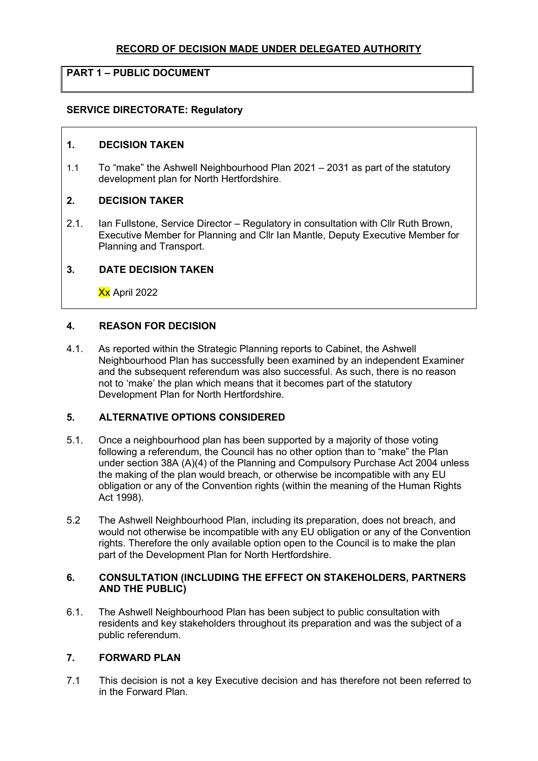## **RECORD OF DECISION MADE UNDER DELEGATED AUTHORITY**

# **PART 1 – PUBLIC DOCUMENT**

### **SERVICE DIRECTORATE: Regulatory**

### **1. DECISION TAKEN**

1.1 To "make" the Ashwell Neighbourhood Plan 2021 – 2031 as part of the statutory development plan for North Hertfordshire.

## **2. DECISION TAKER**

2.1. Ian Fullstone, Service Director – Regulatory in consultation with Cllr Ruth Brown, Executive Member for Planning and Cllr Ian Mantle, Deputy Executive Member for Planning and Transport.

### **3. DATE DECISION TAKEN**

Xx April 2022

### **4. REASON FOR DECISION**

4.1. As reported within the Strategic Planning reports to Cabinet, the Ashwell Neighbourhood Plan has successfully been examined by an independent Examiner and the subsequent referendum was also successful. As such, there is no reason not to 'make' the plan which means that it becomes part of the statutory Development Plan for North Hertfordshire.

## **5. ALTERNATIVE OPTIONS CONSIDERED**

- 5.1. Once a neighbourhood plan has been supported by a majority of those voting following a referendum, the Council has no other option than to "make" the Plan under section 38A (A)(4) of the Planning and Compulsory Purchase Act 2004 unless the making of the plan would breach, or otherwise be incompatible with any EU obligation or any of the Convention rights (within the meaning of the Human Rights Act 1998).
- 5.2 The Ashwell Neighbourhood Plan, including its preparation, does not breach, and would not otherwise be incompatible with any EU obligation or any of the Convention rights. Therefore the only available option open to the Council is to make the plan part of the Development Plan for North Hertfordshire.

### **6. CONSULTATION (INCLUDING THE EFFECT ON STAKEHOLDERS, PARTNERS AND THE PUBLIC)**

6.1. The Ashwell Neighbourhood Plan has been subject to public consultation with residents and key stakeholders throughout its preparation and was the subject of a public referendum.

#### **7. FORWARD PLAN**

7.1 This decision is not a key Executive decision and has therefore not been referred to in the Forward Plan.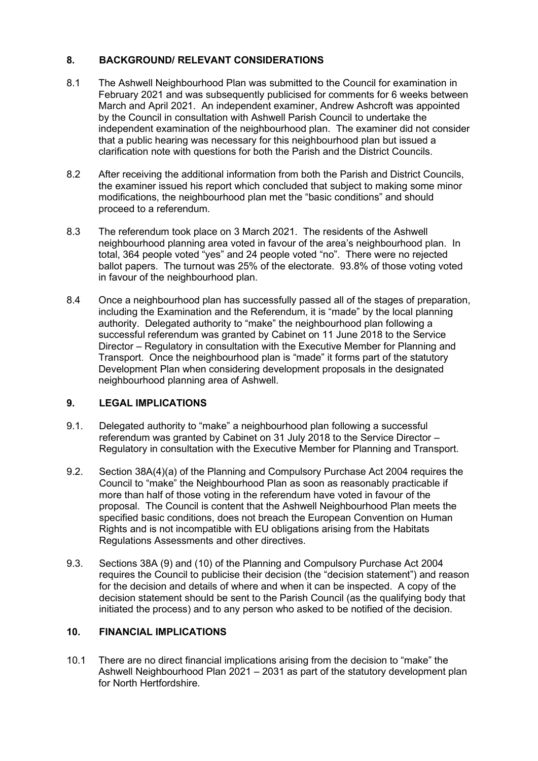# **8. BACKGROUND/ RELEVANT CONSIDERATIONS**

- 8.1 The Ashwell Neighbourhood Plan was submitted to the Council for examination in February 2021 and was subsequently publicised for comments for 6 weeks between March and April 2021. An independent examiner, Andrew Ashcroft was appointed by the Council in consultation with Ashwell Parish Council to undertake the independent examination of the neighbourhood plan. The examiner did not consider that a public hearing was necessary for this neighbourhood plan but issued a clarification note with questions for both the Parish and the District Councils.
- 8.2 After receiving the additional information from both the Parish and District Councils, the examiner issued his report which concluded that subject to making some minor modifications, the neighbourhood plan met the "basic conditions" and should proceed to a referendum.
- 8.3 The referendum took place on 3 March 2021. The residents of the Ashwell neighbourhood planning area voted in favour of the area's neighbourhood plan. In total, 364 people voted "yes" and 24 people voted "no". There were no rejected ballot papers. The turnout was 25% of the electorate. 93.8% of those voting voted in favour of the neighbourhood plan.
- 8.4 Once a neighbourhood plan has successfully passed all of the stages of preparation, including the Examination and the Referendum, it is "made" by the local planning authority. Delegated authority to "make" the neighbourhood plan following a successful referendum was granted by Cabinet on 11 June 2018 to the Service Director – Regulatory in consultation with the Executive Member for Planning and Transport. Once the neighbourhood plan is "made" it forms part of the statutory Development Plan when considering development proposals in the designated neighbourhood planning area of Ashwell.

## **9. LEGAL IMPLICATIONS**

- 9.1. Delegated authority to "make" a neighbourhood plan following a successful referendum was granted by Cabinet on 31 July 2018 to the Service Director – Regulatory in consultation with the Executive Member for Planning and Transport.
- 9.2. Section 38A(4)(a) of the Planning and Compulsory Purchase Act 2004 requires the Council to "make" the Neighbourhood Plan as soon as reasonably practicable if more than half of those voting in the referendum have voted in favour of the proposal. The Council is content that the Ashwell Neighbourhood Plan meets the specified basic conditions, does not breach the European Convention on Human Rights and is not incompatible with EU obligations arising from the Habitats Regulations Assessments and other directives.
- 9.3. Sections 38A (9) and (10) of the Planning and Compulsory Purchase Act 2004 requires the Council to publicise their decision (the "decision statement") and reason for the decision and details of where and when it can be inspected. A copy of the decision statement should be sent to the Parish Council (as the qualifying body that initiated the process) and to any person who asked to be notified of the decision.

# **10. FINANCIAL IMPLICATIONS**

10.1 There are no direct financial implications arising from the decision to "make" the Ashwell Neighbourhood Plan 2021 – 2031 as part of the statutory development plan for North Hertfordshire.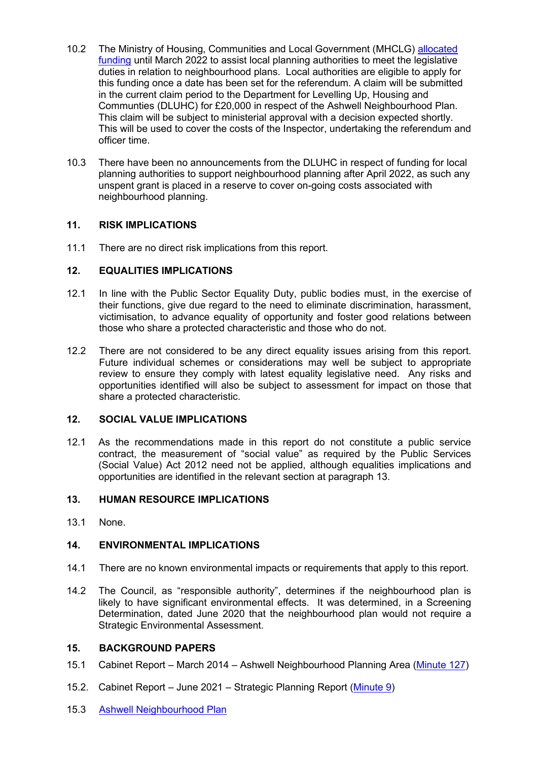- 10.2 The Ministry of Housing, Communities and Local Government (MHCLG) allocated [funding](https://assets.publishing.service.gov.uk/government/uploads/system/uploads/attachment_data/file/997813/Chief_Planners_Letter_Neighbourhood_Planning_Grant_2021-22.pdf) until March 2022 to assist local planning authorities to meet the legislative duties in relation to neighbourhood plans. Local authorities are eligible to apply for this funding once a date has been set for the referendum. A claim will be submitted in the current claim period to the Department for Levelling Up, Housing and Communties (DLUHC) for £20,000 in respect of the Ashwell Neighbourhood Plan. This claim will be subject to ministerial approval with a decision expected shortly. This will be used to cover the costs of the Inspector, undertaking the referendum and officer time.
- 10.3 There have been no announcements from the DLUHC in respect of funding for local planning authorities to support neighbourhood planning after April 2022, as such any unspent grant is placed in a reserve to cover on-going costs associated with neighbourhood planning.

## **11. RISK IMPLICATIONS**

11.1 There are no direct risk implications from this report.

## **12. EQUALITIES IMPLICATIONS**

- 12.1 In line with the Public Sector Equality Duty, public bodies must, in the exercise of their functions, give due regard to the need to eliminate discrimination, harassment, victimisation, to advance equality of opportunity and foster good relations between those who share a protected characteristic and those who do not.
- 12.2 There are not considered to be any direct equality issues arising from this report. Future individual schemes or considerations may well be subject to appropriate review to ensure they comply with latest equality legislative need. Any risks and opportunities identified will also be subject to assessment for impact on those that share a protected characteristic.

## **12. SOCIAL VALUE IMPLICATIONS**

12.1 As the recommendations made in this report do not constitute a public service contract, the measurement of "social value" as required by the Public Services (Social Value) Act 2012 need not be applied, although equalities implications and opportunities are identified in the relevant section at paragraph 13.

## **13. HUMAN RESOURCE IMPLICATIONS**

13.1 None.

## **14. ENVIRONMENTAL IMPLICATIONS**

- 14.1 There are no known environmental impacts or requirements that apply to this report.
- 14.2 The Council, as "responsible authority", determines if the neighbourhood plan is likely to have significant environmental effects. It was determined, in a Screening Determination, dated June 2020 that the neighbourhood plan would not require a Strategic Environmental Assessment.

## **15. BACKGROUND PAPERS**

- 15.1 Cabinet Report March 2014 Ashwell Neighbourhood Planning Area [\(Minute 127\)](https://democracy.north-herts.gov.uk/CeListDocuments.aspx?CommitteeId=133&MeetingId=281&DF=25%2f03%2f2014&Ver=2)
- 15.2. Cabinet Report June 2021 Strategic Planning Report [\(Minute 9\)](https://democracy.north-herts.gov.uk/documents/g2594/Public%20reports%20pack%2029th-Jun-2021%2019.30%20Cabinet.pdf?T=10)
- 15.3 [Ashwell Neighbourhood Plan](https://www.north-herts.gov.uk/approved-neighbourhood-areas-ashwell)